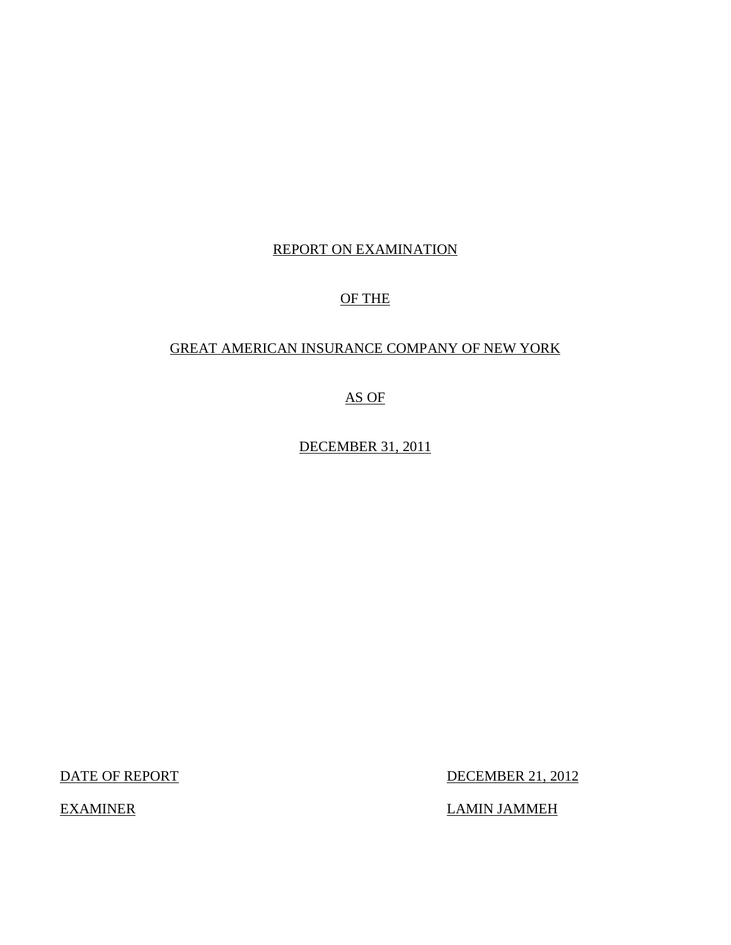## REPORT ON EXAMINATION

## OF THE

## GREAT AMERICAN INSURANCE COMPANY OF NEW YORK

## AS OF

DECEMBER 31, 2011

DATE OF REPORT DECEMBER 21, 2012

EXAMINER LAMIN JAMMEH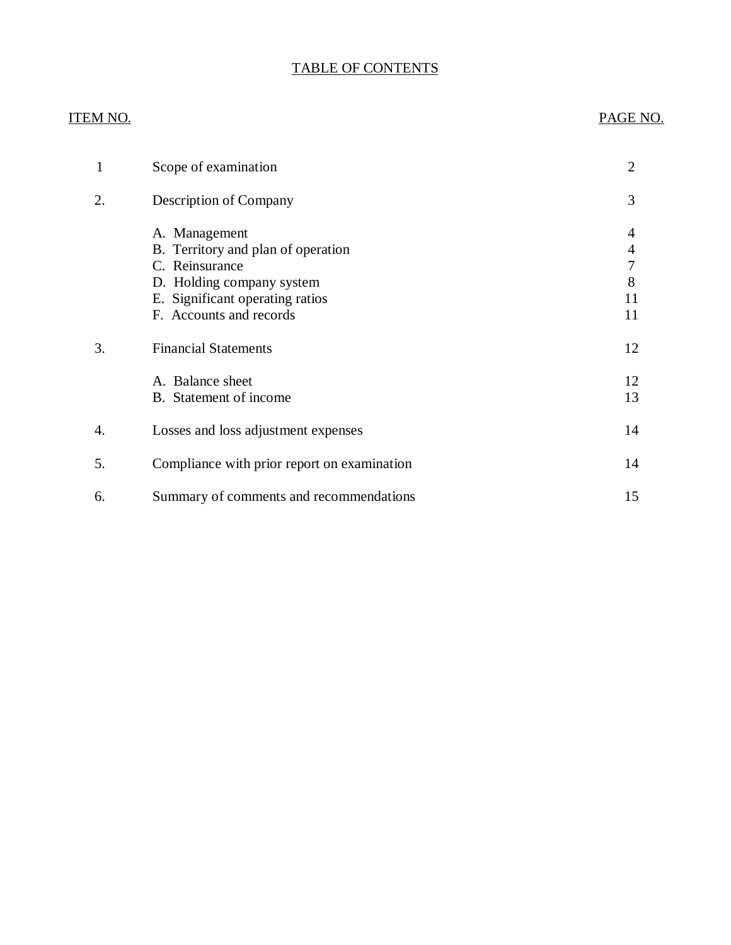## TABLE OF CONTENTS

## ITEM NO. PAGE NO.

| 1  | Scope of examination                                                                                                                                             | 2                            |
|----|------------------------------------------------------------------------------------------------------------------------------------------------------------------|------------------------------|
| 2. | Description of Company                                                                                                                                           | 3                            |
|    | A. Management<br>B. Territory and plan of operation<br>C. Reinsurance<br>D. Holding company system<br>E. Significant operating ratios<br>F. Accounts and records | 4<br>4<br>7<br>8<br>11<br>11 |
| 3. | <b>Financial Statements</b>                                                                                                                                      | 12                           |
|    | A. Balance sheet<br>B. Statement of income                                                                                                                       | 12<br>13                     |
| 4. | Losses and loss adjustment expenses                                                                                                                              | 14                           |
| 5. | Compliance with prior report on examination                                                                                                                      | 14                           |
| 6. | Summary of comments and recommendations                                                                                                                          | 15                           |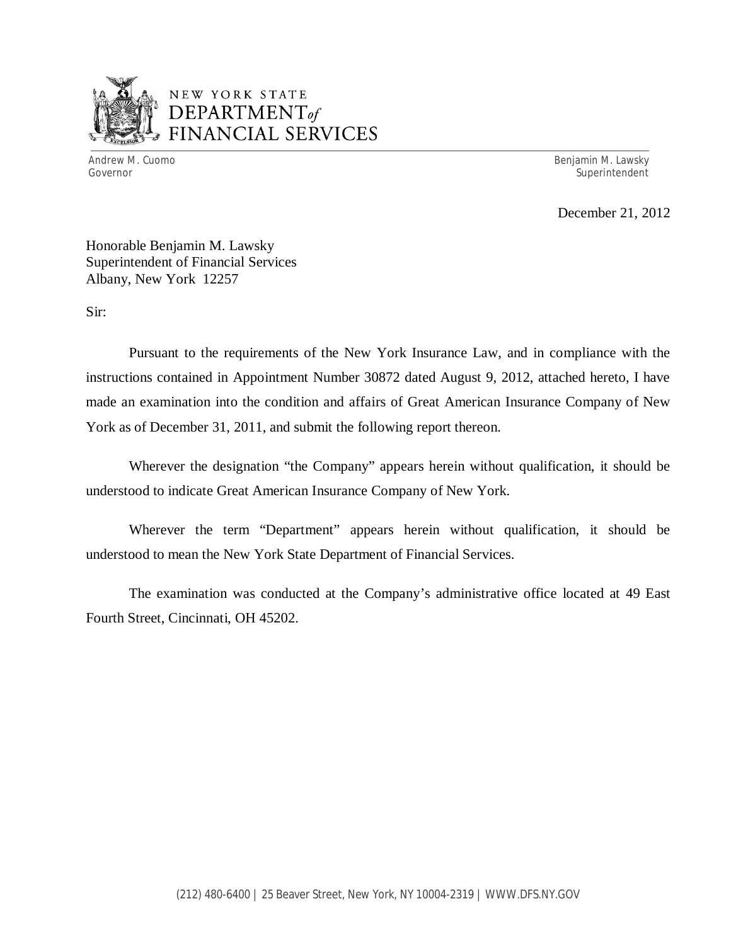

## NEW YORK STATE *DEPARTMENTof*  FINANCIAL SERVICES

Andrew M. Cuomo **Benjamin M. Lawsky** Governor Superintendent Superintendent Superintendent Superintendent Superintendent Superintendent Superintendent

December 21, 2012

Honorable Benjamin M. Lawsky Superintendent of Financial Services Albany, New York 12257

Sir:

Pursuant to the requirements of the New York Insurance Law, and in compliance with the instructions contained in Appointment Number 30872 dated August 9, 2012, attached hereto, I have made an examination into the condition and affairs of Great American Insurance Company of New York as of December 31, 2011, and submit the following report thereon.

Wherever the designation "the Company" appears herein without qualification, it should be understood to indicate Great American Insurance Company of New York.

Wherever the term "Department" appears herein without qualification, it should be understood to mean the New York State Department of Financial Services.

The examination was conducted at the Company's administrative office located at 49 East Fourth Street, Cincinnati, OH 45202.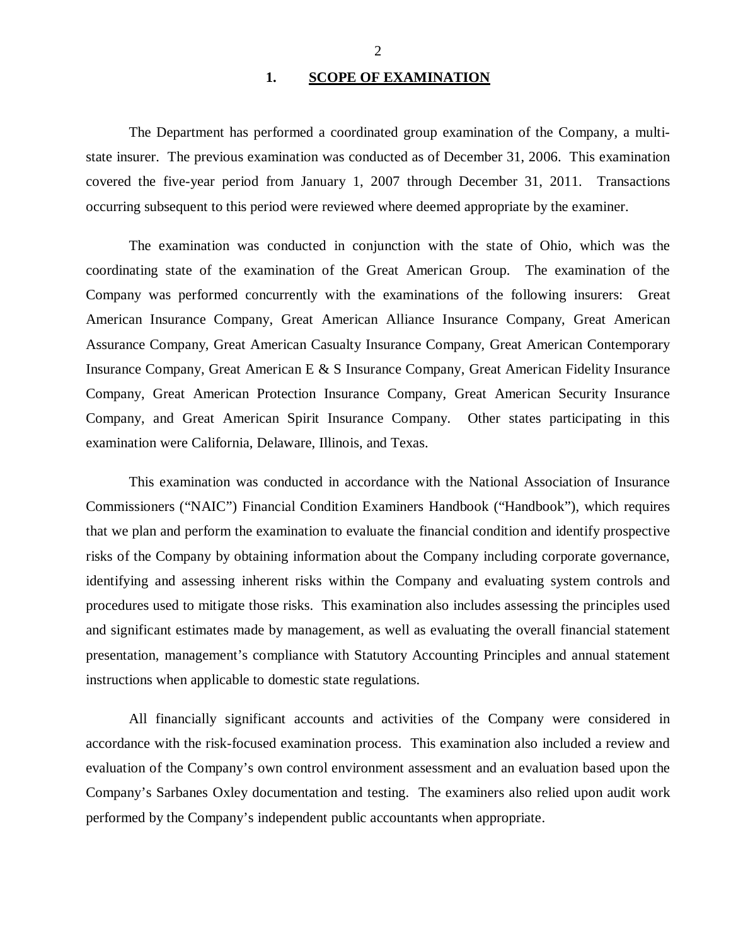#### 1. SCOPE OF EXAMINATION

<span id="page-3-0"></span>The Department has performed a coordinated group examination of the Company*,* a multistate insurer. The previous examination was conducted as of December 31, 2006. This examination covered the five-year period from January 1, 2007 through December 31, 2011. Transactions occurring subsequent to this period were reviewed where deemed appropriate by the examiner.

The examination was conducted in conjunction with the state of Ohio, which was the coordinating state of the examination of the Great American Group. The examination of the Company was performed concurrently with the examinations of the following insurers: Great American Insurance Company, Great American Alliance Insurance Company, Great American Assurance Company, Great American Casualty Insurance Company, Great American Contemporary Insurance Company, Great American E & S Insurance Company, Great American Fidelity Insurance Company, Great American Protection Insurance Company, Great American Security Insurance Company, and Great American Spirit Insurance Company. Other states participating in this examination were California, Delaware, Illinois, and Texas.

This examination was conducted in accordance with the National Association of Insurance Commissioners ("NAIC") Financial Condition Examiners Handbook ("Handbook"), which requires that we plan and perform the examination to evaluate the financial condition and identify prospective risks of the Company by obtaining information about the Company including corporate governance, identifying and assessing inherent risks within the Company and evaluating system controls and procedures used to mitigate those risks. This examination also includes assessing the principles used and significant estimates made by management, as well as evaluating the overall financial statement presentation, management's compliance with Statutory Accounting Principles and annual statement instructions when applicable to domestic state regulations.

All financially significant accounts and activities of the Company were considered in accordance with the risk-focused examination process. This examination also included a review and evaluation of the Company's own control environment assessment and an evaluation based upon the Company's Sarbanes Oxley documentation and testing. The examiners also relied upon audit work performed by the Company's independent public accountants when appropriate.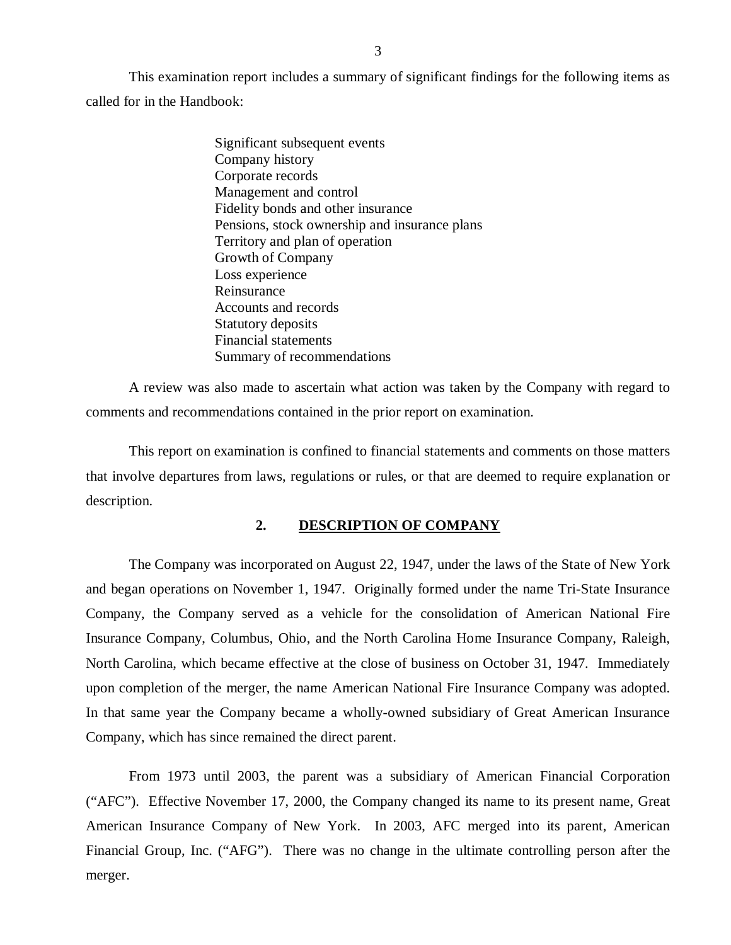<span id="page-4-0"></span>This examination report includes a summary of significant findings for the following items as called for in the Handbook:

> Significant subsequent events Company history Corporate records Management and control Fidelity bonds and other insurance Pensions, stock ownership and insurance plans Territory and plan of operation Growth of Company Loss experience Reinsurance Accounts and records Statutory deposits Financial statements Summary of recommendations

A review was also made to ascertain what action was taken by the Company with regard to comments and recommendations contained in the prior report on examination.

This report on examination is confined to financial statements and comments on those matters that involve departures from laws, regulations or rules, or that are deemed to require explanation or description.

### **2. DESCRIPTION OF COMPANY**

The Company was incorporated on August 22, 1947, under the laws of the State of New York and began operations on November 1, 1947. Originally formed under the name Tri-State Insurance Company, the Company served as a vehicle for the consolidation of American National Fire Insurance Company, Columbus, Ohio, and the North Carolina Home Insurance Company, Raleigh, North Carolina, which became effective at the close of business on October 31, 1947. Immediately upon completion of the merger, the name American National Fire Insurance Company was adopted. In that same year the Company became a wholly-owned subsidiary of Great American Insurance Company, which has since remained the direct parent.

From 1973 until 2003, the parent was a subsidiary of American Financial Corporation ("AFC"). Effective November 17, 2000, the Company changed its name to its present name, Great American Insurance Company of New York. In 2003, AFC merged into its parent, American Financial Group, Inc. ("AFG"). There was no change in the ultimate controlling person after the merger.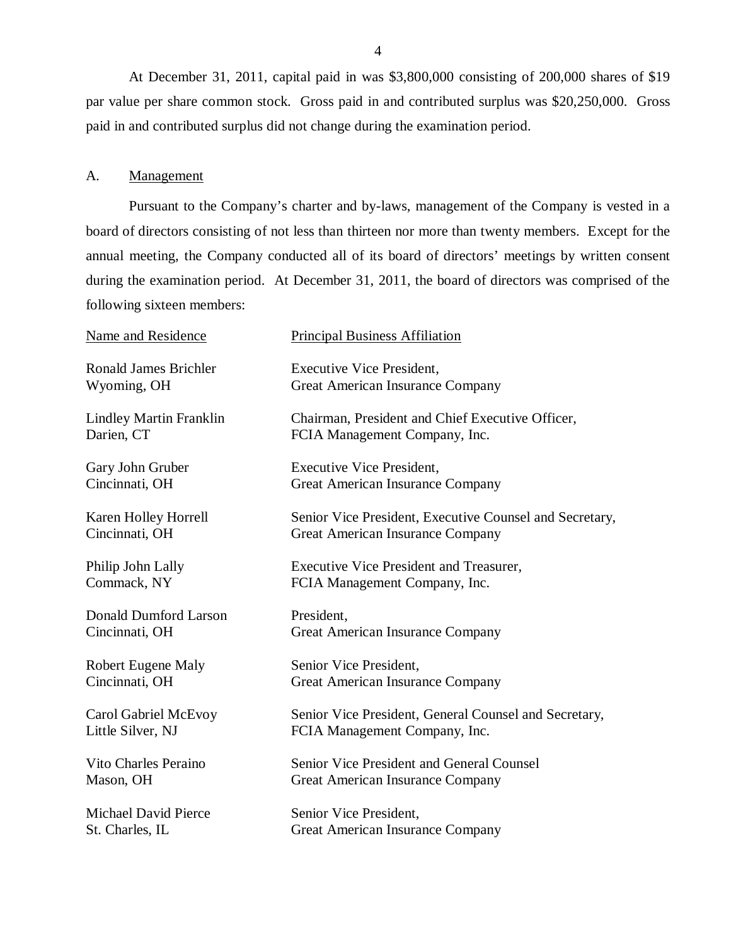<span id="page-5-0"></span>At December 31, 2011, capital paid in was \$3,800,000 consisting of 200,000 shares of \$19 par value per share common stock. Gross paid in and contributed surplus was \$20,250,000. Gross paid in and contributed surplus did not change during the examination period.

#### A. Management

Pursuant to the Company's charter and by-laws, management of the Company is vested in a board of directors consisting of not less than thirteen nor more than twenty members. Except for the annual meeting, the Company conducted all of its board of directors' meetings by written consent during the examination period. At December 31, 2011, the board of directors was comprised of the following sixteen members:

| <b>Principal Business Affiliation</b>                                                       |
|---------------------------------------------------------------------------------------------|
| <b>Executive Vice President,</b><br><b>Great American Insurance Company</b>                 |
| Chairman, President and Chief Executive Officer,<br>FCIA Management Company, Inc.           |
| <b>Executive Vice President,</b><br><b>Great American Insurance Company</b>                 |
| Senior Vice President, Executive Counsel and Secretary,<br>Great American Insurance Company |
| <b>Executive Vice President and Treasurer,</b><br>FCIA Management Company, Inc.             |
| President,<br>Great American Insurance Company                                              |
| Senior Vice President,<br>Great American Insurance Company                                  |
| Senior Vice President, General Counsel and Secretary,<br>FCIA Management Company, Inc.      |
| Senior Vice President and General Counsel<br>Great American Insurance Company               |
| Senior Vice President,<br><b>Great American Insurance Company</b>                           |
|                                                                                             |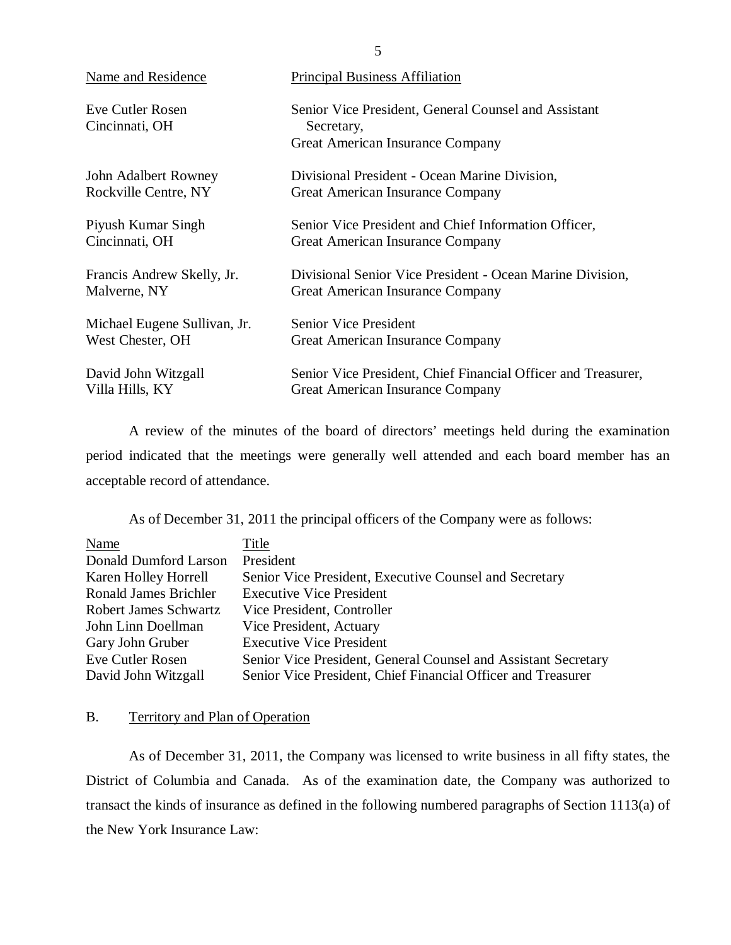| Name and Residence                 | <b>Principal Business Affiliation</b>                                                                  |
|------------------------------------|--------------------------------------------------------------------------------------------------------|
| Eve Cutler Rosen<br>Cincinnati, OH | Senior Vice President, General Counsel and Assistant<br>Secretary,<br>Great American Insurance Company |
| John Adalbert Rowney               | Divisional President - Ocean Marine Division,                                                          |
| Rockville Centre, NY               | Great American Insurance Company                                                                       |
| Piyush Kumar Singh                 | Senior Vice President and Chief Information Officer,                                                   |
| Cincinnati, OH                     | Great American Insurance Company                                                                       |
| Francis Andrew Skelly, Jr.         | Divisional Senior Vice President - Ocean Marine Division,                                              |
| Malverne, NY                       | Great American Insurance Company                                                                       |
| Michael Eugene Sullivan, Jr.       | <b>Senior Vice President</b>                                                                           |
| West Chester, OH                   | Great American Insurance Company                                                                       |
| David John Witzgall                | Senior Vice President, Chief Financial Officer and Treasurer,                                          |
| Villa Hills, KY                    | Great American Insurance Company                                                                       |

A review of the minutes of the board of directors' meetings held during the examination period indicated that the meetings were generally well attended and each board member has an acceptable record of attendance.

As of December 31, 2011 the principal officers of the Company were as follows:

| Name                  | Title                                                          |
|-----------------------|----------------------------------------------------------------|
| Donald Dumford Larson | President                                                      |
| Karen Holley Horrell  | Senior Vice President, Executive Counsel and Secretary         |
| Ronald James Brichler | <b>Executive Vice President</b>                                |
| Robert James Schwartz | Vice President, Controller                                     |
| John Linn Doellman    | Vice President, Actuary                                        |
| Gary John Gruber      | <b>Executive Vice President</b>                                |
| Eve Cutler Rosen      | Senior Vice President, General Counsel and Assistant Secretary |
| David John Witzgall   | Senior Vice President, Chief Financial Officer and Treasurer   |

## B. Territory and Plan of Operation

As of December 31, 2011, the Company was licensed to write business in all fifty states, the District of Columbia and Canada. As of the examination date, the Company was authorized to transact the kinds of insurance as defined in the following numbered paragraphs of Section 1113(a) of the New York Insurance Law:

5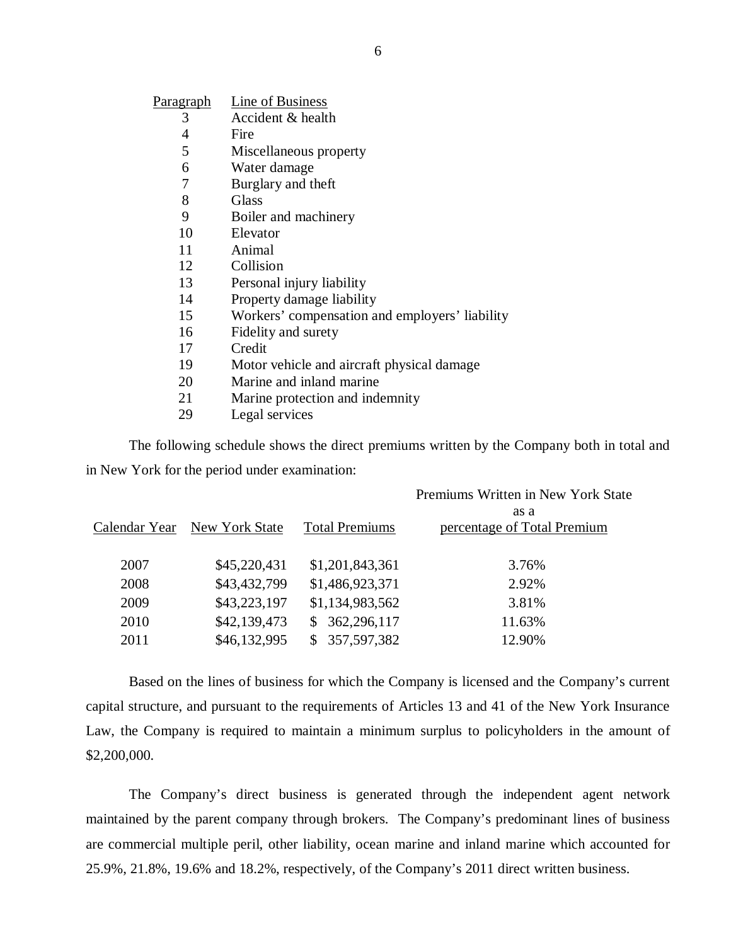| P <u>aragraph</u> | Line of Business                               |
|-------------------|------------------------------------------------|
| 3                 | Accident & health                              |
| 4                 | Fire                                           |
| 5                 | Miscellaneous property                         |
| 6                 | Water damage                                   |
| 7                 | Burglary and theft                             |
| 8                 | Glass                                          |
| 9                 | Boiler and machinery                           |
| 10                | Elevator                                       |
| 11                | Animal                                         |
| 12                | Collision                                      |
| 13                | Personal injury liability                      |
| 14                | Property damage liability                      |
| 15                | Workers' compensation and employers' liability |
| 16                | Fidelity and surety                            |
| 17                | Credit                                         |
| 19                | Motor vehicle and aircraft physical damage     |
| 20                | Marine and inland marine                       |
| 21                | Marine protection and indemnity                |
| 29                | Legal services                                 |

The following schedule shows the direct premiums written by the Company both in total and in New York for the period under examination:

|               |                |                       | Premiums Written in New York State |
|---------------|----------------|-----------------------|------------------------------------|
|               |                |                       | as a                               |
| Calendar Year | New York State | <b>Total Premiums</b> | percentage of Total Premium        |
|               |                |                       |                                    |
| 2007          | \$45,220,431   | \$1,201,843,361       | 3.76%                              |
| 2008          | \$43,432,799   | \$1,486,923,371       | 2.92%                              |
| 2009          | \$43,223,197   | \$1,134,983,562       | 3.81%                              |
| 2010          | \$42,139,473   | 362,296,117<br>S.     | 11.63%                             |
| 2011          | \$46,132,995   | 357,597,382           | 12.90%                             |
|               |                |                       |                                    |

Based on the lines of business for which the Company is licensed and the Company's current capital structure, and pursuant to the requirements of Articles 13 and 41 of the New York Insurance Law, the Company is required to maintain a minimum surplus to policyholders in the amount of \$2,200,000.

The Company's direct business is generated through the independent agent network maintained by the parent company through brokers. The Company's predominant lines of business are commercial multiple peril, other liability, ocean marine and inland marine which accounted for 25.9%, 21.8%, 19.6% and 18.2%, respectively, of the Company's 2011 direct written business.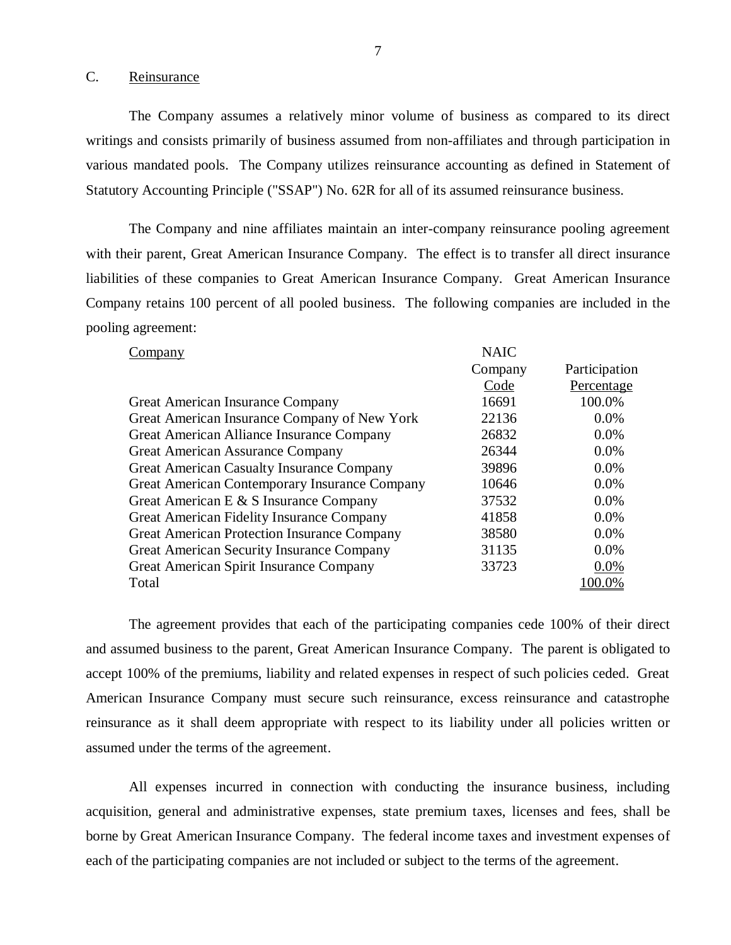#### C. Reinsurance

The Company assumes a relatively minor volume of business as compared to its direct writings and consists primarily of business assumed from non-affiliates and through participation in various mandated pools. The Company utilizes reinsurance accounting as defined in Statement of Statutory Accounting Principle ("SSAP") No. 62R for all of its assumed reinsurance business.

The Company and nine affiliates maintain an inter-company reinsurance pooling agreement with their parent, Great American Insurance Company. The effect is to transfer all direct insurance liabilities of these companies to Great American Insurance Company. Great American Insurance Company retains 100 percent of all pooled business. The following companies are included in the pooling agreement:

| Company                                            | <b>NAIC</b> |               |
|----------------------------------------------------|-------------|---------------|
|                                                    | Company     | Participation |
|                                                    | Code        | Percentage    |
| Great American Insurance Company                   | 16691       | 100.0%        |
| Great American Insurance Company of New York       | 22136       | 0.0%          |
| Great American Alliance Insurance Company          | 26832       | 0.0%          |
| <b>Great American Assurance Company</b>            | 26344       | $0.0\%$       |
| <b>Great American Casualty Insurance Company</b>   | 39896       | 0.0%          |
| Great American Contemporary Insurance Company      | 10646       | $0.0\%$       |
| Great American E & S Insurance Company             | 37532       | 0.0%          |
| Great American Fidelity Insurance Company          | 41858       | 0.0%          |
| <b>Great American Protection Insurance Company</b> | 38580       | 0.0%          |
| <b>Great American Security Insurance Company</b>   | 31135       | 0.0%          |
| Great American Spirit Insurance Company            | 33723       | 0.0%          |
| Total                                              |             | 00.0%         |

The agreement provides that each of the participating companies cede 100% of their direct and assumed business to the parent, Great American Insurance Company. The parent is obligated to accept 100% of the premiums, liability and related expenses in respect of such policies ceded. Great American Insurance Company must secure such reinsurance, excess reinsurance and catastrophe reinsurance as it shall deem appropriate with respect to its liability under all policies written or assumed under the terms of the agreement.

All expenses incurred in connection with conducting the insurance business, including acquisition, general and administrative expenses, state premium taxes, licenses and fees, shall be borne by Great American Insurance Company. The federal income taxes and investment expenses of each of the participating companies are not included or subject to the terms of the agreement.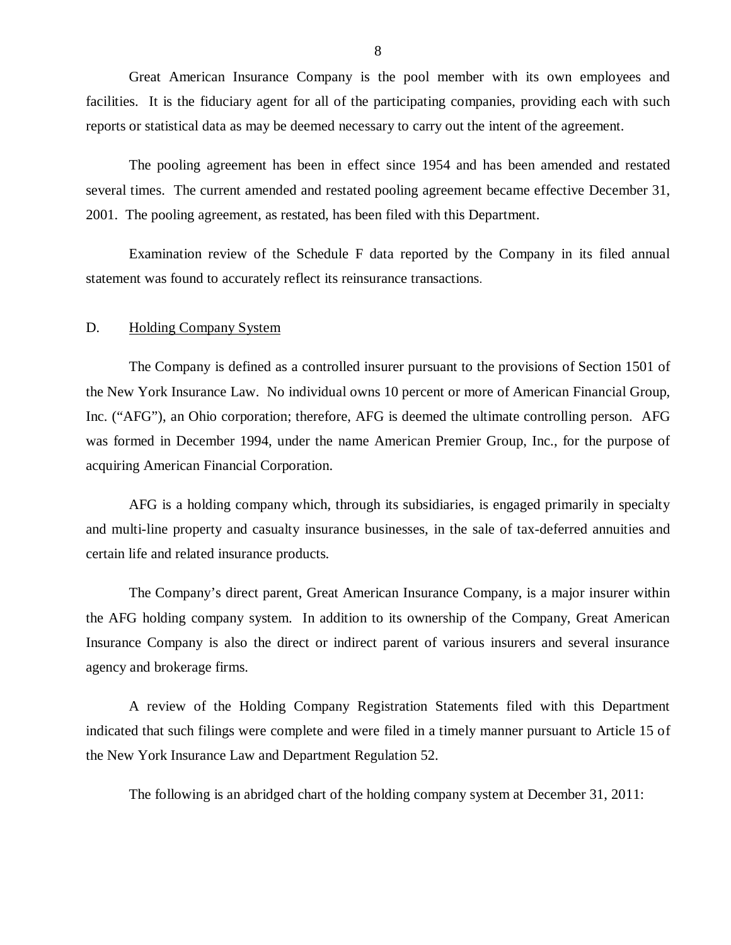<span id="page-9-0"></span>Great American Insurance Company is the pool member with its own employees and facilities. It is the fiduciary agent for all of the participating companies, providing each with such reports or statistical data as may be deemed necessary to carry out the intent of the agreement.

The pooling agreement has been in effect since 1954 and has been amended and restated several times. The current amended and restated pooling agreement became effective December 31, 2001. The pooling agreement, as restated, has been filed with this Department.

Examination review of the Schedule F data reported by the Company in its filed annual statement was found to accurately reflect its reinsurance transactions.

#### D. Holding Company System

The Company is defined as a controlled insurer pursuant to the provisions of Section 1501 of the New York Insurance Law. No individual owns 10 percent or more of American Financial Group, Inc. ("AFG"), an Ohio corporation; therefore, AFG is deemed the ultimate controlling person. AFG was formed in December 1994, under the name American Premier Group, Inc., for the purpose of acquiring American Financial Corporation.

AFG is a holding company which, through its subsidiaries, is engaged primarily in specialty and multi-line property and casualty insurance businesses, in the sale of tax-deferred annuities and certain life and related insurance products.

The Company's direct parent, Great American Insurance Company, is a major insurer within the AFG holding company system. In addition to its ownership of the Company, Great American Insurance Company is also the direct or indirect parent of various insurers and several insurance agency and brokerage firms.

A review of the Holding Company Registration Statements filed with this Department indicated that such filings were complete and were filed in a timely manner pursuant to Article 15 of the New York Insurance Law and Department Regulation 52.

The following is an abridged chart of the holding company system at December 31, 2011:

8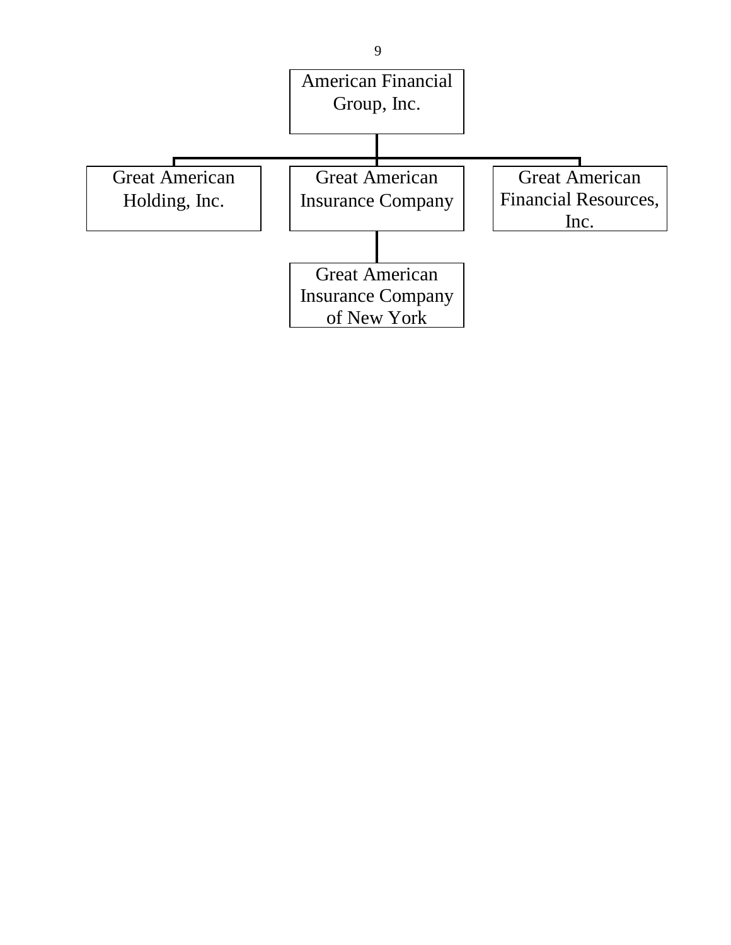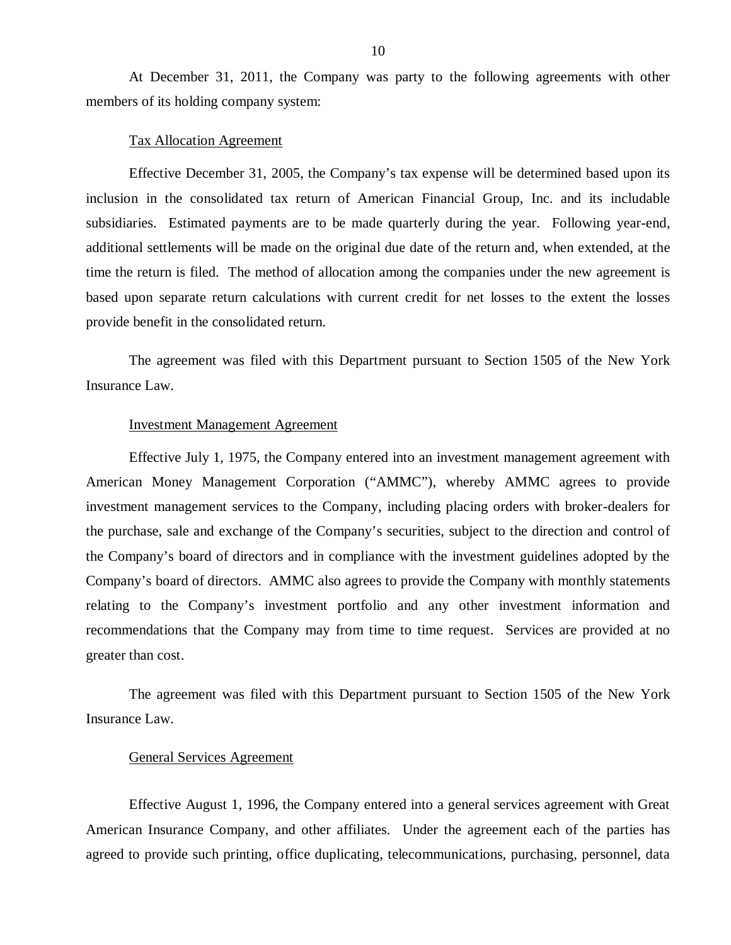At December 31, 2011, the Company was party to the following agreements with other members of its holding company system:

#### Tax Allocation Agreement

Effective December 31, 2005, the Company's tax expense will be determined based upon its inclusion in the consolidated tax return of American Financial Group, Inc. and its includable subsidiaries. Estimated payments are to be made quarterly during the year. Following year-end, additional settlements will be made on the original due date of the return and, when extended, at the time the return is filed. The method of allocation among the companies under the new agreement is based upon separate return calculations with current credit for net losses to the extent the losses provide benefit in the consolidated return.

The agreement was filed with this Department pursuant to Section 1505 of the New York Insurance Law.

#### Investment Management Agreement

Effective July 1, 1975, the Company entered into an investment management agreement with American Money Management Corporation ("AMMC"), whereby AMMC agrees to provide investment management services to the Company, including placing orders with broker-dealers for the purchase, sale and exchange of the Company's securities, subject to the direction and control of the Company's board of directors and in compliance with the investment guidelines adopted by the Company's board of directors. AMMC also agrees to provide the Company with monthly statements relating to the Company's investment portfolio and any other investment information and recommendations that the Company may from time to time request. Services are provided at no greater than cost.

The agreement was filed with this Department pursuant to Section 1505 of the New York Insurance Law.

### General Services Agreement

Effective August 1, 1996, the Company entered into a general services agreement with Great American Insurance Company, and other affiliates. Under the agreement each of the parties has agreed to provide such printing, office duplicating, telecommunications, purchasing, personnel, data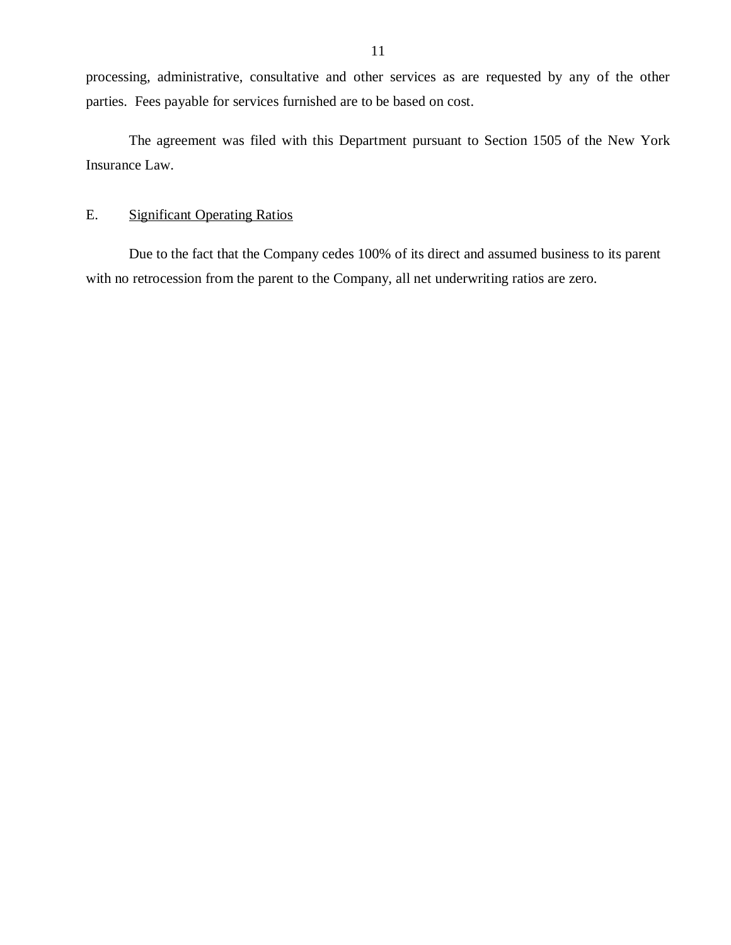<span id="page-12-0"></span>processing, administrative, consultative and other services as are requested by any of the other parties. Fees payable for services furnished are to be based on cost.

The agreement was filed with this Department pursuant to Section 1505 of the New York Insurance Law.

## E. Significant Operating Ratios

Due to the fact that the Company cedes 100% of its direct and assumed business to its parent with no retrocession from the parent to the Company, all net underwriting ratios are zero.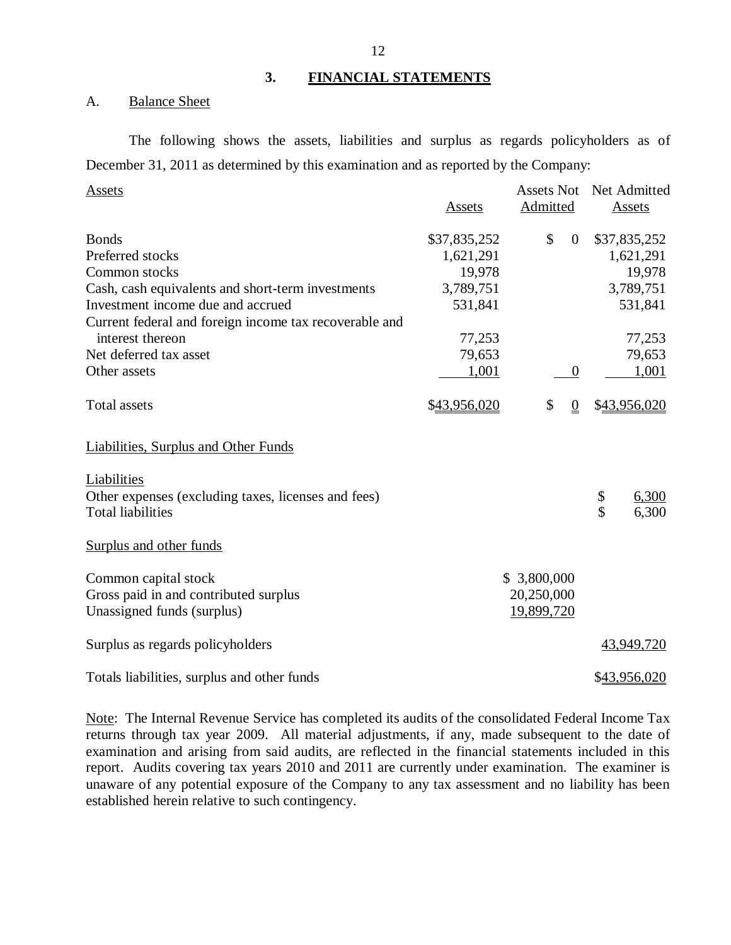#### **3. FINANCIAL STATEMENTS**

### A. Balance Sheet

The following shows the assets, liabilities and surplus as regards policyholders as of December 31, 2011 as determined by this examination and as reported by the Company:

| Assets                                                                     |              | <b>Assets Not</b>      | Net Admitted |
|----------------------------------------------------------------------------|--------------|------------------------|--------------|
|                                                                            | Assets       | Admitted               | Assets       |
| <b>Bonds</b>                                                               | \$37,835,252 | \$<br>$\boldsymbol{0}$ | \$37,835,252 |
| Preferred stocks                                                           | 1,621,291    |                        | 1,621,291    |
| Common stocks                                                              | 19,978       |                        | 19,978       |
| Cash, cash equivalents and short-term investments                          | 3,789,751    |                        | 3,789,751    |
| Investment income due and accrued                                          | 531,841      |                        | 531,841      |
| Current federal and foreign income tax recoverable and<br>interest thereon | 77,253       |                        | 77,253       |
| Net deferred tax asset                                                     | 79,653       |                        | 79,653       |
| Other assets                                                               | 1,001        | $\boldsymbol{0}$       | 1,001        |
|                                                                            |              |                        |              |
| <b>Total assets</b>                                                        | \$43,956,020 | \$<br>$\overline{0}$   | \$43,956,020 |
| <b>Liabilities, Surplus and Other Funds</b>                                |              |                        |              |
| Liabilities                                                                |              |                        |              |
| Other expenses (excluding taxes, licenses and fees)                        |              |                        | \$<br>6,300  |
| <b>Total liabilities</b>                                                   |              |                        | \$<br>6,300  |
|                                                                            |              |                        |              |
| Surplus and other funds                                                    |              |                        |              |
| Common capital stock                                                       |              | \$3,800,000            |              |
| Gross paid in and contributed surplus                                      |              | 20,250,000             |              |
| Unassigned funds (surplus)                                                 |              | 19,899,720             |              |
|                                                                            |              |                        |              |
| Surplus as regards policyholders                                           |              |                        | 43,949,720   |
| Totals liabilities, surplus and other funds                                |              |                        | \$43,956,020 |

Note: The Internal Revenue Service has completed its audits of the consolidated Federal Income Tax returns through tax year 2009. All material adjustments, if any, made subsequent to the date of examination and arising from said audits, are reflected in the financial statements included in this report. Audits covering tax years 2010 and 2011 are currently under examination. The examiner is unaware of any potential exposure of the Company to any tax assessment and no liability has been established herein relative to such contingency.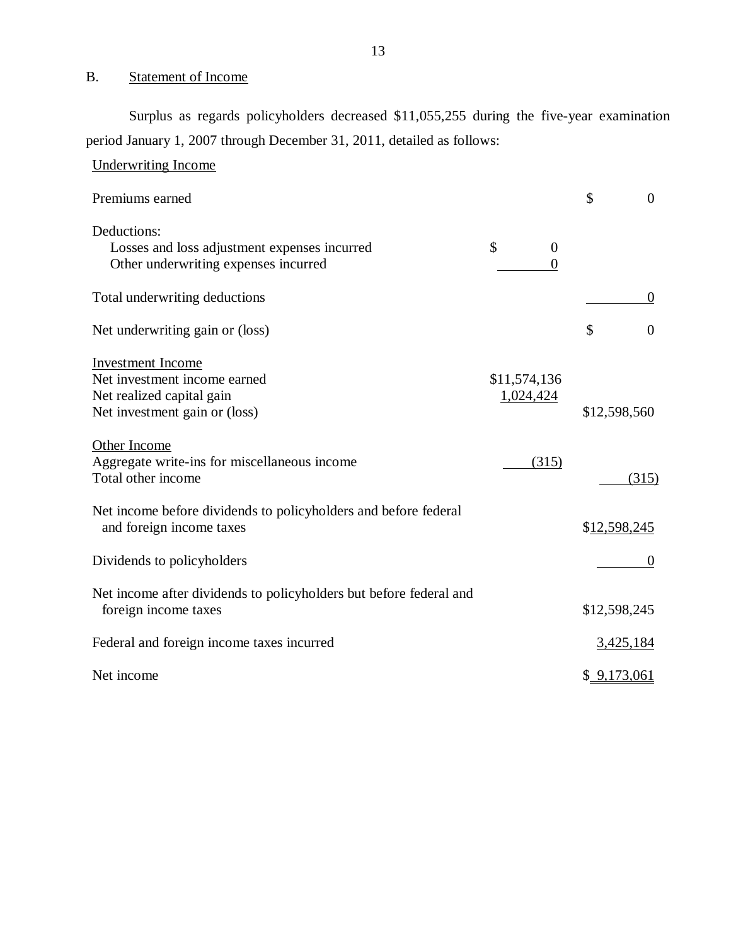## B. Statement of Income

Surplus as regards policyholders decreased \$11,055,255 during the five-year examination period January 1, 2007 through December 31, 2011, detailed as follows:

| <b>Underwriting Income</b>                                                                                             |                                  |                      |
|------------------------------------------------------------------------------------------------------------------------|----------------------------------|----------------------|
| Premiums earned                                                                                                        |                                  | \$<br>$\overline{0}$ |
| Deductions:<br>Losses and loss adjustment expenses incurred<br>Other underwriting expenses incurred                    | \$<br>$\overline{0}$<br>$\theta$ |                      |
| Total underwriting deductions                                                                                          |                                  | $\Omega$             |
| Net underwriting gain or (loss)                                                                                        |                                  | \$<br>$\overline{0}$ |
| <b>Investment</b> Income<br>Net investment income earned<br>Net realized capital gain<br>Net investment gain or (loss) | \$11,574,136<br>1,024,424        | \$12,598,560         |
| Other Income<br>Aggregate write-ins for miscellaneous income<br>Total other income                                     | (315)                            | (315)                |
| Net income before dividends to policyholders and before federal<br>and foreign income taxes                            |                                  | \$12,598,245         |
| Dividends to policyholders                                                                                             |                                  | $\overline{0}$       |
| Net income after dividends to policyholders but before federal and<br>foreign income taxes                             |                                  | \$12,598,245         |
| Federal and foreign income taxes incurred                                                                              |                                  | 3,425,184            |
| Net income                                                                                                             |                                  | \$ 9,173,061         |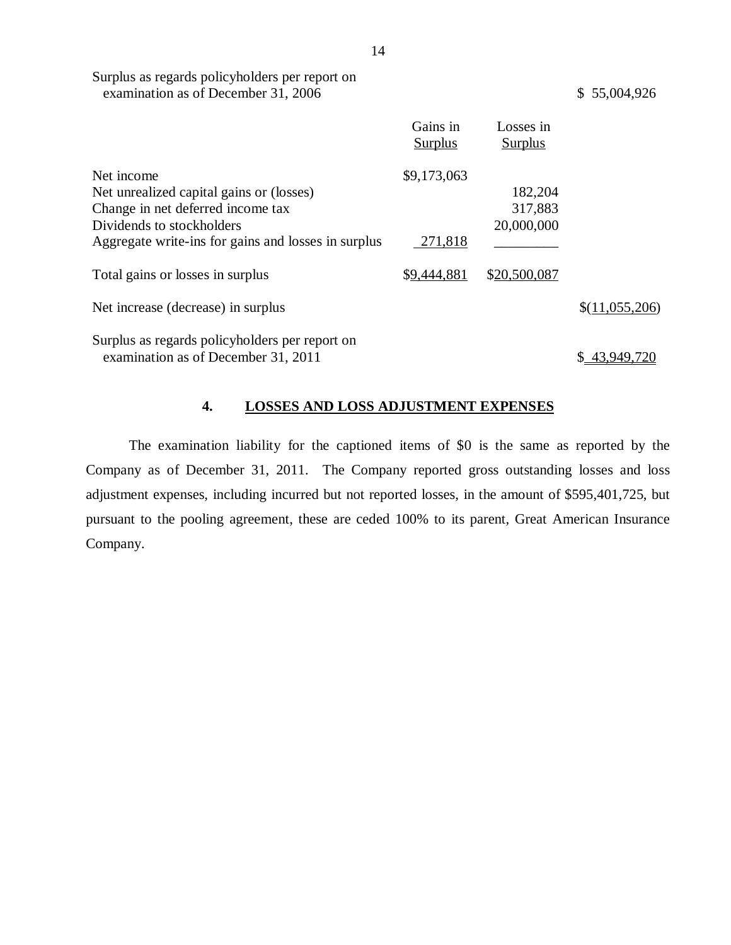| Surplus as regards policyholders per report on |              |
|------------------------------------------------|--------------|
| examination as of December 31, 2006            | \$55,004,926 |

|                                                                                       | Gains in<br><b>Surplus</b> | Losses in<br><b>Surplus</b> |                |
|---------------------------------------------------------------------------------------|----------------------------|-----------------------------|----------------|
| Net income                                                                            | \$9,173,063                |                             |                |
| Net unrealized capital gains or (losses)                                              |                            | 182,204                     |                |
| Change in net deferred income tax                                                     |                            | 317,883                     |                |
| Dividends to stockholders                                                             |                            | 20,000,000                  |                |
| Aggregate write-ins for gains and losses in surplus                                   | 271,818                    |                             |                |
| Total gains or losses in surplus                                                      | \$9,444,881                | \$20,500,087                |                |
| Net increase (decrease) in surplus                                                    |                            |                             | \$(11,055,206) |
| Surplus as regards policyholders per report on<br>examination as of December 31, 2011 |                            |                             | \$43,949,720   |

## **4. LOSSES AND LOSS ADJUSTMENT EXPENSES**

The examination liability for the captioned items of \$0 is the same as reported by the Company as of December 31, 2011. The Company reported gross outstanding losses and loss adjustment expenses, including incurred but not reported losses, in the amount of \$595,401,725, but pursuant to the pooling agreement, these are ceded 100% to its parent, Great American Insurance Company.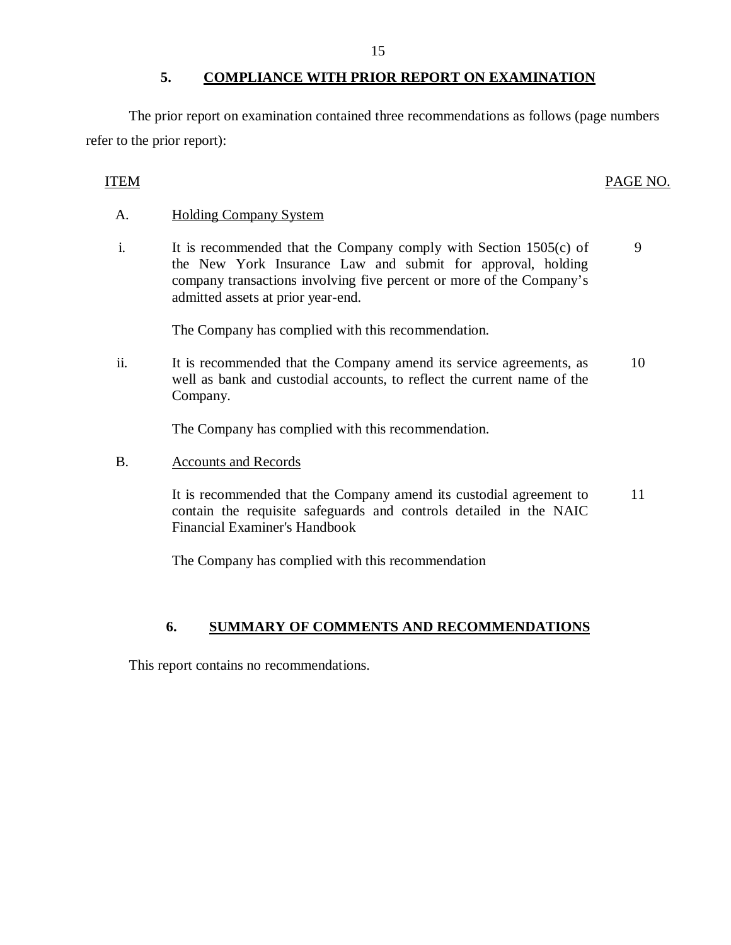The prior report on examination contained three recommendations as follows (page numbers refer to the prior report):

## ITEM PAGE NO.

## A. Holding Company System

i. It is recommended that the Company comply with Section 1505(c) of the New York Insurance Law and submit for approval, holding company transactions involving five percent or more of the Company's admitted assets at prior year-end. 9

The Company has complied with this recommendation.

ii. It is recommended that the Company amend its service agreements, as well as bank and custodial accounts, to reflect the current name of the Company. 10

The Company has complied with this recommendation.

B. Accounts and Records

It is recommended that the Company amend its custodial agreement to contain the requisite safeguards and controls detailed in the NAIC Financial Examiner's Handbook 11

The Company has complied with this recommendation

## **6. SUMMARY OF COMMENTS AND RECOMMENDATIONS**

This report contains no recommendations.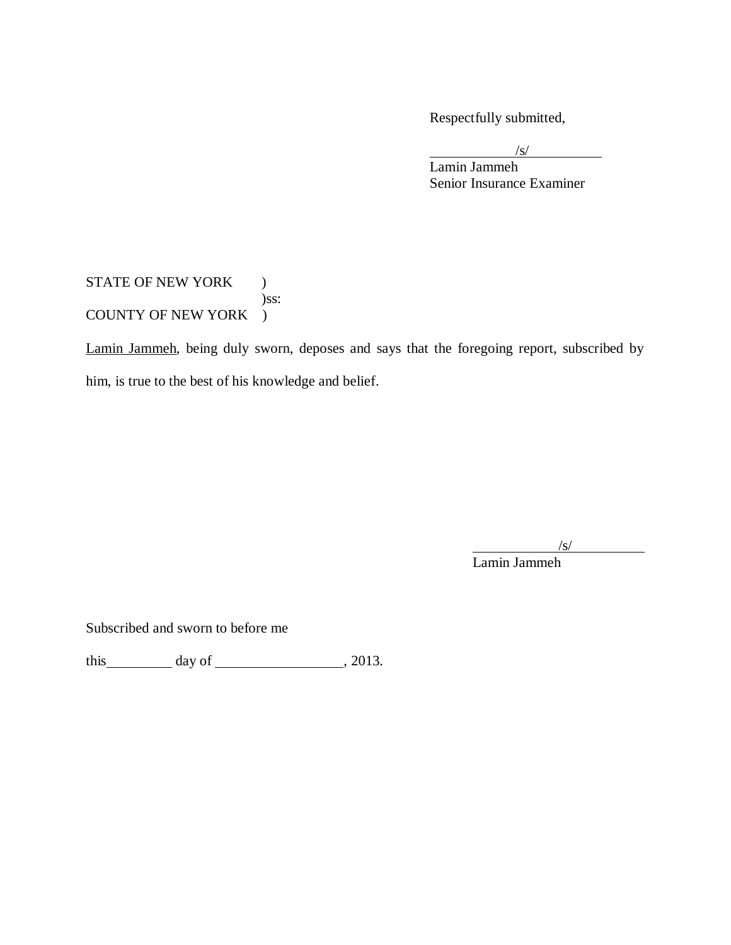Respectfully submitted,

 $\sqrt{s}$ /

Lamin Jammeh Senior Insurance Examiner

## STATE OF NEW YORK ) )ss: COUNTY OF NEW YORK )

Lamin Jammeh, being duly sworn, deposes and says that the foregoing report, subscribed by him, is true to the best of his knowledge and belief.

 $\sqrt{s}$ /

Lamin Jammeh

Subscribed and sworn to before me

this  $\_\_\_\_\_\$  day of  $\_\_\_\_\_\_\_\_\$ , 2013.